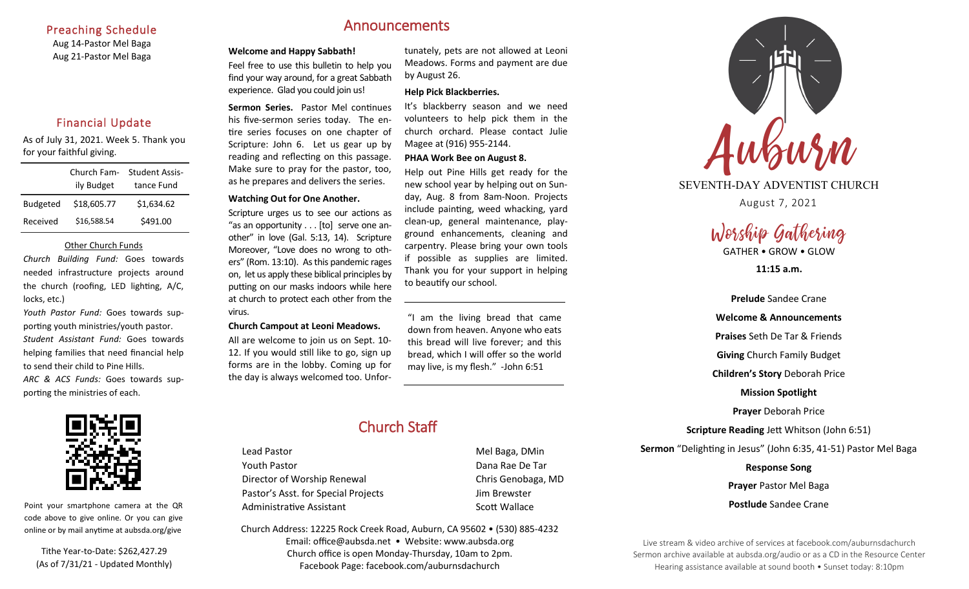#### Preaching Schedule

Aug 14-Pastor Mel Baga Aug 21-Pastor Mel Baga

# Financial Update

As of July 31, 2021. Week 5. Thank you for your faithful giving.

|                 | Church Fam- | <b>Student Assis-</b> |
|-----------------|-------------|-----------------------|
|                 | ily Budget  | tance Fund            |
| <b>Budgeted</b> | \$18,605.77 | \$1,634.62            |
| Received        | \$16,588.54 | \$491.00              |

#### Other Church Funds

*Church Building Fund:* Goes towards needed infrastructure projects around the church (roofing, LED lighting, A/C, locks, etc.)

*Youth Pastor Fund:* Goes towards supporting youth ministries/youth pastor. *Student Assistant Fund:* Goes towards helping families that need financial help to send their child to Pine Hills.





Point your smartphone camera at the QR code above to give online. Or you can give online or by mail anytime at aubsda.org/give

Tithe Year-to-Date: \$262,427.29 (As of 7/31/21 - Updated Monthly)

# Announcements

#### **Welcome and Happy Sabbath!**

Feel free to use this bulletin to help you find your way around, for a great Sabbath experience. Glad you could join us!

**Sermon Series.** Pastor Mel continues his five-sermon series today. The entire series focuses on one chapter of Scripture: John 6. Let us gear up by reading and reflecting on this passage. Make sure to pray for the pastor, too, as he prepares and delivers the series.

#### **Watching Out for One Another.**

Scripture urges us to see our actions as "as an opportunity . . . [to] serve one another" in love (Gal. 5:13, 14). Scripture Moreover, "Love does no wrong to others" (Rom. 13:10). As this pandemic rages on, let us apply these biblical principles by putting on our masks indoors while here at church to protect each other from the virus.

#### **Church Campout at Leoni Meadows.**

All are welcome to join us on Sept. 10- 12. If you would still like to go, sign up forms are in the lobby. Coming up for the day is always welcomed too. Unfor-

tunately, pets are not allowed at Leoni Meadows. Forms and payment are due by August 26.

#### **Help Pick Blackberries.**

It's blackberry season and we need volunteers to help pick them in the church orchard. Please contact Julie Magee at (916) 955-2144.

#### **PHAA Work Bee on August 8.**

Help out Pine Hills get ready for the new school year by helping out on Sunday, Aug. 8 from 8am-Noon. Projects include painting, weed whacking, yard clean-up, general maintenance, playground enhancements, cleaning and carpentry. Please bring your own tools if possible as supplies are limited. Thank you for your support in helping to beautify our school.

"I am the living bread that came down from heaven. Anyone who eats this bread will live forever; and this bread, which I will offer so the world may live, is my flesh." -John 6:51

# Church Staff

Lead Pastor **Mel Baga**, DMin Youth Pastor **Dana Rae De Tarch Contract Contract Contract Contract Contract Contract Contract Contract Contract Contract Contract Contract Contract Contract Contract Contract Contract Contract Contract Contract Contract C** Director of Worship Renewal Chris Genobaga, MD Pastor's Asst. for Special Projects Fig. 3.1 Jim Brewster Administrative Assistant **Scott Wallace** Scott Wallace

Church Address: 12225 Rock Creek Road, Auburn, CA 95602 • (530) 885-4232 Email: office@aubsda.net • Website: www.aubsda.org Church office is open Monday-Thursday, 10am to 2pm. Facebook Page: facebook.com/auburnsdachurch



#### SEVENTH-DAY ADVENTIST CHURCH

August 7, 2021



**11:15 a.m.**

**Prelude** Sandee Crane **Welcome & Announcements Praises** Seth De Tar & Friends **Giving** Church Family Budget **Children's Story** Deborah Price **Mission Spotlight Prayer** Deborah Price **Scripture Reading** Jett Whitson (John 6:51) **Sermon** "Delighting in Jesus" (John 6:35, 41-51) Pastor Mel Baga **Response Song**

> **Prayer** Pastor Mel Baga **Postlude** Sandee Crane

Live stream & video archive of services at facebook.com/auburnsdachurch Sermon archive available at aubsda.org/audio or as a CD in the Resource Center Hearing assistance available at sound booth • Sunset today: 8:10pm